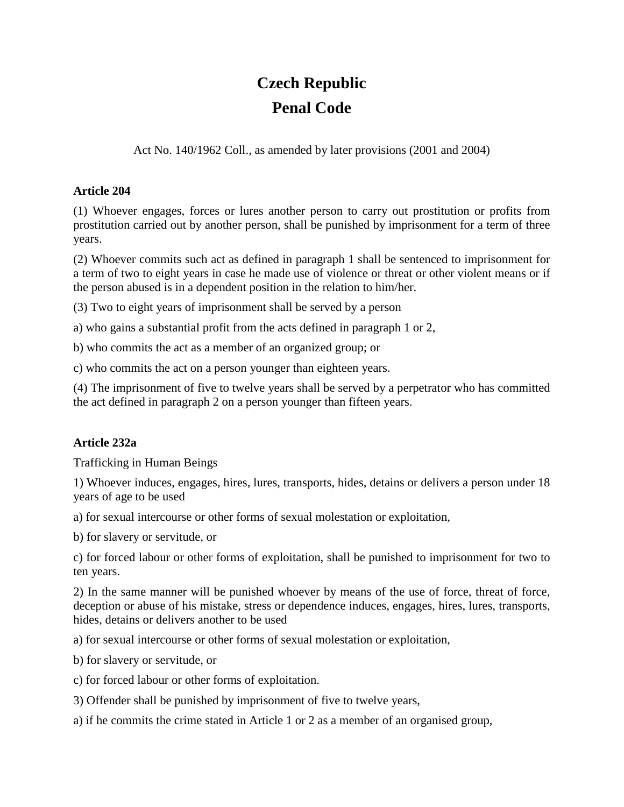## **Czech Republic Penal Code**

Act No. 140/1962 Coll., as amended by later provisions (2001 and 2004)

## **Article 204**

(1) Whoever engages, forces or lures another person to carry out prostitution or profits from prostitution carried out by another person, shall be punished by imprisonment for a term of three years.

(2) Whoever commits such act as defined in paragraph 1 shall be sentenced to imprisonment for a term of two to eight years in case he made use of violence or threat or other violent means or if the person abused is in a dependent position in the relation to him/her.

(3) Two to eight years of imprisonment shall be served by a person

a) who gains a substantial profit from the acts defined in paragraph 1 or 2,

b) who commits the act as a member of an organized group; or

c) who commits the act on a person younger than eighteen years.

(4) The imprisonment of five to twelve years shall be served by a perpetrator who has committed the act defined in paragraph 2 on a person younger than fifteen years.

## **Article 232a**

Trafficking in Human Beings

1) Whoever induces, engages, hires, lures, transports, hides, detains or delivers a person under 18 years of age to be used

a) for sexual intercourse or other forms of sexual molestation or exploitation,

b) for slavery or servitude, or

c) for forced labour or other forms of exploitation, shall be punished to imprisonment for two to ten years.

2) In the same manner will be punished whoever by means of the use of force, threat of force, deception or abuse of his mistake, stress or dependence induces, engages, hires, lures, transports, hides, detains or delivers another to be used

a) for sexual intercourse or other forms of sexual molestation or exploitation,

b) for slavery or servitude, or

c) for forced labour or other forms of exploitation.

3) Offender shall be punished by imprisonment of five to twelve years,

a) if he commits the crime stated in Article 1 or 2 as a member of an organised group,